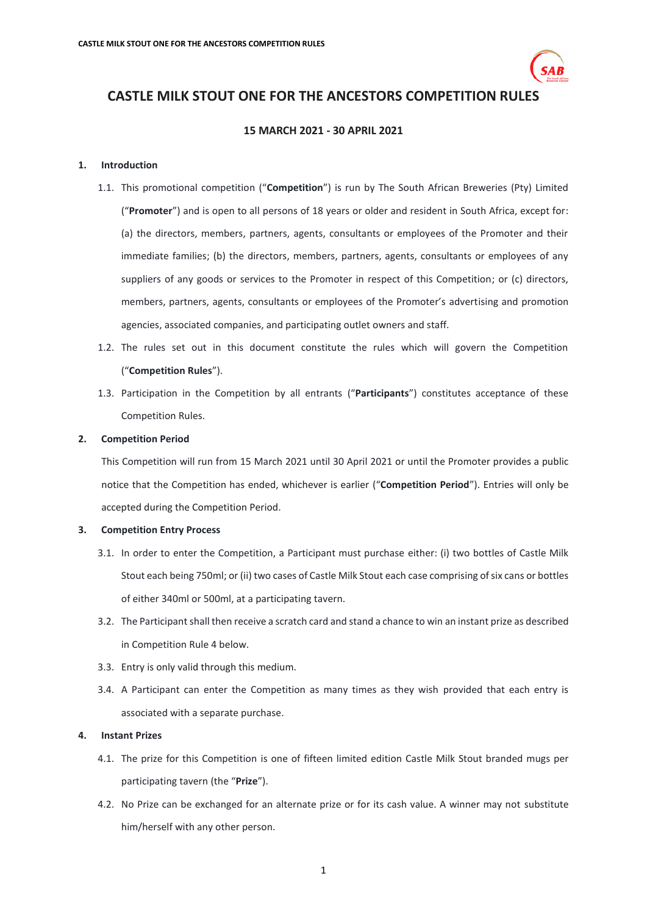

# **CASTLE MILK STOUT ONE FOR THE ANCESTORS COMPETITION RULES**

## **15 MARCH 2021 - 30 APRIL 2021**

## **1. Introduction**

- 1.1. This promotional competition ("**Competition**") is run by The South African Breweries (Pty) Limited ("**Promoter**") and is open to all persons of 18 years or older and resident in South Africa, except for: (a) the directors, members, partners, agents, consultants or employees of the Promoter and their immediate families; (b) the directors, members, partners, agents, consultants or employees of any suppliers of any goods or services to the Promoter in respect of this Competition; or (c) directors, members, partners, agents, consultants or employees of the Promoter's advertising and promotion agencies, associated companies, and participating outlet owners and staff.
- 1.2. The rules set out in this document constitute the rules which will govern the Competition ("**Competition Rules**").
- 1.3. Participation in the Competition by all entrants ("**Participants**") constitutes acceptance of these Competition Rules.

## **2. Competition Period**

This Competition will run from 15 March 2021 until 30 April 2021 or until the Promoter provides a public notice that the Competition has ended, whichever is earlier ("**Competition Period**"). Entries will only be accepted during the Competition Period.

## **3. Competition Entry Process**

- 3.1. In order to enter the Competition, a Participant must purchase either: (i) two bottles of Castle Milk Stout each being 750ml; or (ii) two cases of Castle Milk Stout each case comprising of six cans or bottles of either 340ml or 500ml, at a participating tavern.
- 3.2. The Participant shall then receive a scratch card and stand a chance to win an instant prize as described in Competition Rul[e 4](#page-0-0) below.
- 3.3. Entry is only valid through this medium.
- 3.4. A Participant can enter the Competition as many times as they wish provided that each entry is associated with a separate purchase.

# <span id="page-0-0"></span>**4. Instant Prizes**

- 4.1. The prize for this Competition is one of fifteen limited edition Castle Milk Stout branded mugs per participating tavern (the "**Prize**").
- 4.2. No Prize can be exchanged for an alternate prize or for its cash value. A winner may not substitute him/herself with any other person.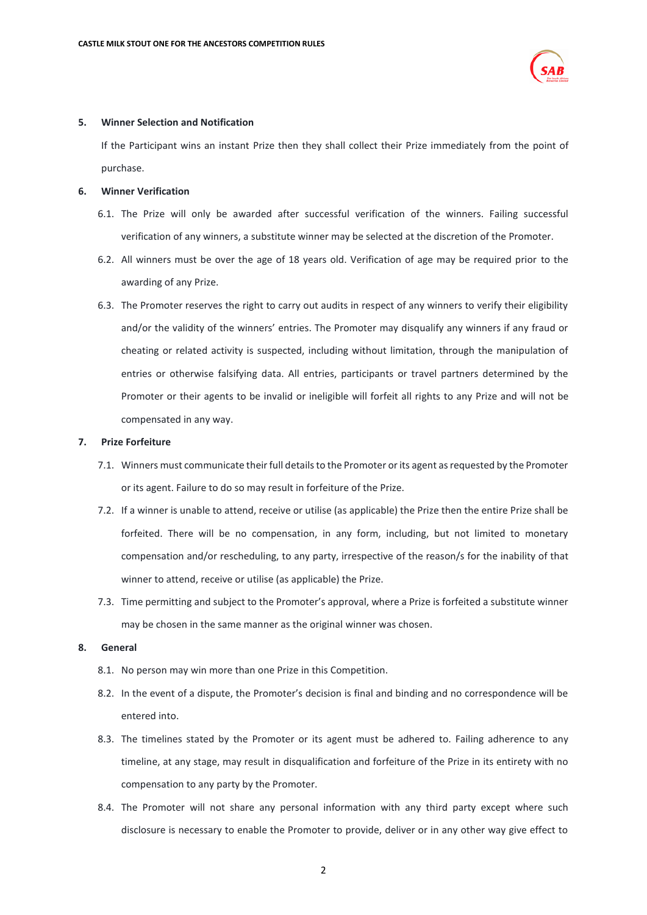

#### **5. Winner Selection and Notification**

If the Participant wins an instant Prize then they shall collect their Prize immediately from the point of purchase.

#### **6. Winner Verification**

- 6.1. The Prize will only be awarded after successful verification of the winners. Failing successful verification of any winners, a substitute winner may be selected at the discretion of the Promoter.
- 6.2. All winners must be over the age of 18 years old. Verification of age may be required prior to the awarding of any Prize.
- 6.3. The Promoter reserves the right to carry out audits in respect of any winners to verify their eligibility and/or the validity of the winners' entries. The Promoter may disqualify any winners if any fraud or cheating or related activity is suspected, including without limitation, through the manipulation of entries or otherwise falsifying data. All entries, participants or travel partners determined by the Promoter or their agents to be invalid or ineligible will forfeit all rights to any Prize and will not be compensated in any way.

#### **7. Prize Forfeiture**

- 7.1. Winners must communicate their full details to the Promoter or its agent as requested by the Promoter or its agent. Failure to do so may result in forfeiture of the Prize.
- 7.2. If a winner is unable to attend, receive or utilise (as applicable) the Prize then the entire Prize shall be forfeited. There will be no compensation, in any form, including, but not limited to monetary compensation and/or rescheduling, to any party, irrespective of the reason/s for the inability of that winner to attend, receive or utilise (as applicable) the Prize.
- 7.3. Time permitting and subject to the Promoter's approval, where a Prize is forfeited a substitute winner may be chosen in the same manner as the original winner was chosen.

# **8. General**

- 8.1. No person may win more than one Prize in this Competition.
- 8.2. In the event of a dispute, the Promoter's decision is final and binding and no correspondence will be entered into.
- 8.3. The timelines stated by the Promoter or its agent must be adhered to. Failing adherence to any timeline, at any stage, may result in disqualification and forfeiture of the Prize in its entirety with no compensation to any party by the Promoter.
- 8.4. The Promoter will not share any personal information with any third party except where such disclosure is necessary to enable the Promoter to provide, deliver or in any other way give effect to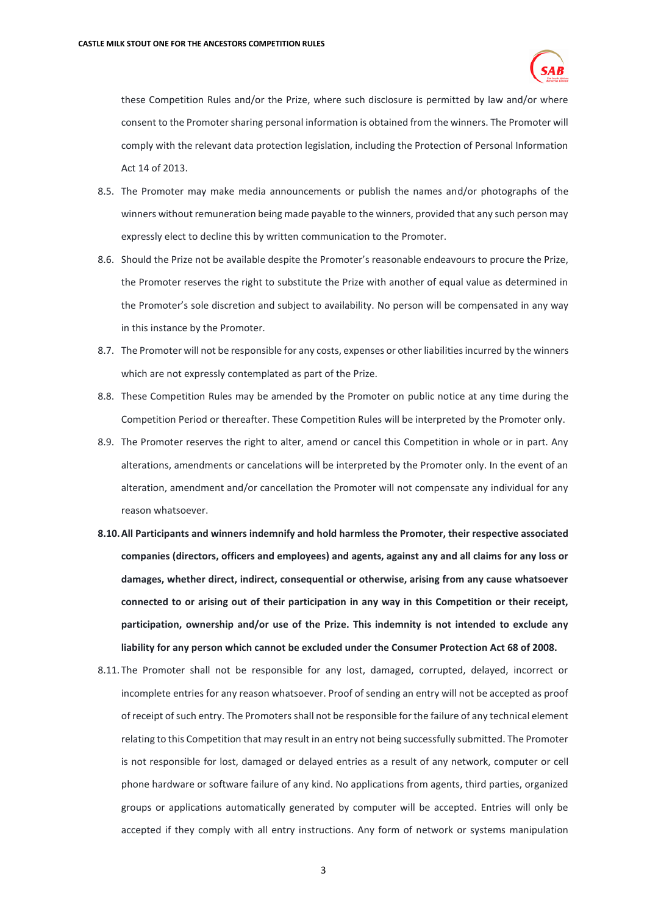

these Competition Rules and/or the Prize, where such disclosure is permitted by law and/or where consent to the Promoter sharing personal information is obtained from the winners. The Promoter will comply with the relevant data protection legislation, including the Protection of Personal Information Act 14 of 2013.

- 8.5. The Promoter may make media announcements or publish the names and/or photographs of the winners without remuneration being made payable to the winners, provided that any such person may expressly elect to decline this by written communication to the Promoter.
- 8.6. Should the Prize not be available despite the Promoter's reasonable endeavours to procure the Prize, the Promoter reserves the right to substitute the Prize with another of equal value as determined in the Promoter's sole discretion and subject to availability. No person will be compensated in any way in this instance by the Promoter.
- 8.7. The Promoter will not be responsible for any costs, expenses or other liabilities incurred by the winners which are not expressly contemplated as part of the Prize.
- 8.8. These Competition Rules may be amended by the Promoter on public notice at any time during the Competition Period or thereafter. These Competition Rules will be interpreted by the Promoter only.
- 8.9. The Promoter reserves the right to alter, amend or cancel this Competition in whole or in part. Any alterations, amendments or cancelations will be interpreted by the Promoter only. In the event of an alteration, amendment and/or cancellation the Promoter will not compensate any individual for any reason whatsoever.
- **8.10.All Participants and winners indemnify and hold harmless the Promoter, their respective associated companies (directors, officers and employees) and agents, against any and all claims for any loss or damages, whether direct, indirect, consequential or otherwise, arising from any cause whatsoever connected to or arising out of their participation in any way in this Competition or their receipt, participation, ownership and/or use of the Prize. This indemnity is not intended to exclude any liability for any person which cannot be excluded under the Consumer Protection Act 68 of 2008.**
- 8.11. The Promoter shall not be responsible for any lost, damaged, corrupted, delayed, incorrect or incomplete entries for any reason whatsoever. Proof of sending an entry will not be accepted as proof of receipt of such entry. The Promoters shall not be responsible for the failure of any technical element relating to this Competition that may result in an entry not being successfully submitted. The Promoter is not responsible for lost, damaged or delayed entries as a result of any network, computer or cell phone hardware or software failure of any kind. No applications from agents, third parties, organized groups or applications automatically generated by computer will be accepted. Entries will only be accepted if they comply with all entry instructions. Any form of network or systems manipulation